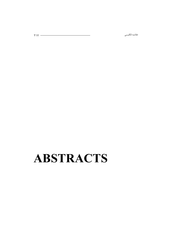# **ABSTRACTS**

كاليسى مىسى ئالغان ئالى ئىلەن ئالغان ئالغان ئالغان ئالغان ئالغان ئالغان ئالغان ئالغان ئالغان ئالغان ئالغان ئال<br>مەمۇرىي ئالغان ئالغان ئالغان ئالغان ئالغان ئالغان ئالغان ئالغان ئالغان ئالغان ئالغان ئالغان ئالغان ئالغان ئالغ

خلاصه انگلیسی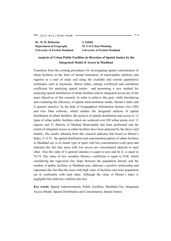**Dr. M. R. Rahnama Department of Geography University of Ferdosi Mashhad**  **J. Zabihi M. S of Urban Planning University of Ferdosi Mashhad** 

#### **Analysis of Urban Public Facilities in Direction of Spatial Justice by the Integrated Model of Access in Mashhad**

Transition from the existing procedures for investigating spatial concentration of urban facilities in the form of formal limitations of municipality (districts and regions) as a unit of study and using the available and current quantitative techniques such as taxonomy, Morris index, entropy coefficient and correlation coefficient for analyzing spatial justice and presenting a new method for analyzing spatial distribution of urban facilities and its integrated access are of the main objectives of this research. In order to achieve this goal, while introducing and evaluating the efficiency of spatial autocorrelation modle, Moran's index and G general statistics, by the help of Geographical Information System (Arc GIS) and Geo Data software, which enables the integrated analysis of spatial distribution of urban facilities, the analysis of spatial distribution and access to 12 types of urban public facilities which are scattered over 820 urban points over 12 regions and 51 districts of Mashad Municipality has been performed and the extent of integrated access to urban facilities have been analyzed by the above said models. The results obtained from this research indicates that based on Moran's Index,  $I = 0.35$ , the spatial distribution and concentration pattern of urban facilities in Mashhad city is of cluster type of spots with low concentration (cold spot) and indicates the fact that areas with low access are concentrated adjacent to each other. Also the value of G general statistics is equal to zero and for Z, is equal to 76.74. The value of two variables Moran's coefficient is equal to 0.08, which considering the regression line slope between the population density and the number of public facilities in Mashhad area, indicates a positive relationship and represents this fact that the areas with high value of facilities and more population are in conformity with each other. Although the value of Moran's index is negligible but relatively confirms this fact.

**Key words**: Spatial Autocorrelation, Public Facilities, Mashhad City. Integrated Access Model, Spatial Distribution and Concentration, Spatial Justice.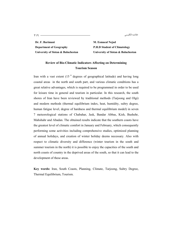219 خلاصه انگلیسی

**Dr. F. Barimani Department of Geography University of Sistan & Baluchestan** 

**M. Esmaeal Nejad P.H.D Student of Climatology University of Sistan & Baluchestan** 

# **Review of Bio-Climatic Indicators Affecting on Determining Tourism Season**

Iran with a vast extent  $(15<sup>0</sup>$  degrees of geographical latitude) and having long coastal areas in the north and south part, and various climatic conditions has a great relative advantages, which is required to be programmed in order to be used for leisure time in general and tourism in particular. In this research, the south shores of Iran have been reviewed by traditional methods (Tarjoong and Olgi) and modern methods (thermal equilibrium index, heat, humidity, sultry degree, human fatigue level, degree of hardness and thermal equilibrium model) in seven 7 meteorological stations of Chabahar, Jask, Bandar Abbas, Kish, Bushehr, Mahshahr and Abadan. The obtained results indicate that the southern coasts have the greatest level of climatic comfort in January and February, which consequently performing some activities including comprehensive studies, optimized planning of annual holidays, and creation of winter holiday deems necessary. Also with respect to climatic diversity and difference (winter tourism in the south and summer tourism in the north) it is possible to enjoy the capacities of the south and north coasts of country in the deprived areas of the south, so that it can lead to the development of these areas.

**Key words:** Iran, South Coasts, Planning, Climate, Tarjoong, Sultry Degree, Thermal Equilibrium, Tourism.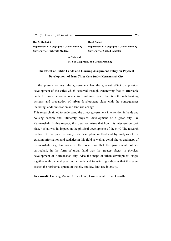1390 -  220

**Dr. A. Meshkini Department of Geography&Urban Planning University of Tarbiyate Modares** 

**Dr. J. Sajadi Department of Geography&Urban Planning University of Shahid Beheshti** 

**M. S of Geography and Urban Planning** 

**A. Tafakori** 

# **The Effect of Public Lands and Housing Assignment Policy on Physical Development of Iran Cities Case Study: Kermanshah City**

In the present century, the government has the greatest effect on physical development of the cities which occurred through transferring free or affordable lands for construction of residential buildings, grant facilities through banking systems and preparation of urban development plans with the consequences including lands annexation and land use change.

This research aimed to understand the direct government intervention in lands and housing section and ultimately physical development of a great city like Kermanshah. In this respect, this question arises that how this intervention took place? What was its impact on the physical development of the city? The research method of this paper is analytical- descriptive method and by analysis of the existing information and statistics in this field as well as aerial photos and maps of Kermanshah city, has come to the conclusion that the government policies particularly in the form of urban land was the greatest factor in physical development of Kermanshah city, Also the maps of urban development stages together with ownership of public lands and transferring indicates that this event caused the horizontal spread of the city and low land use intensity.

**Key words:** Housing Market, Urban Land, Government, Urban Growth.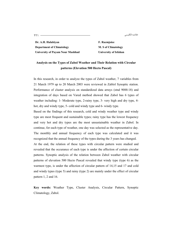خلاصه انگلیسی

221 

**Dr. A.H. Halabiyan Department of Climatology University of Payam Nour Mashhad**  **F. Razmjoiee M. S of Climatology University of Isfahan** 

## **Analysis on the Types of Zabol Weather and Their Relation with Circular patterns (Elevation 500 Hecto Pascal)**

In this research, in order to analyze the types of Zabol weather, 7 variables from 21 March 1979 up to 20 March 2003 were reviewed in Zablol Synoptic station. Performance of cluster analysis on standardized data arrays (stnd 9088:18) and integration of days based on Vared method showed that Zabol has 6 types of weather including: 1- Moderate type, 2-rainy type, 3- very high and dry type, 4 hot, dry and windy type, 5- cold and windy type and 6- windy type.

Based on the findings of this research, cold and windy weather type and windy type are most frequent and sustainable types; rainy type has the lowest frequency and very hot and dry types are the most unsustainable weather in Zabol. In continue, for each type of weather, one day was selected as the representative day. The monthly and annual frequency of each type was calculated and it was recognized that the annual frequency of the types during the 3 years has changed. At the end, the relation of these types with circular pattern were studied and revealed that the occurance of each type is under the affection of certain circular patterns. Synoptic analysis of the relation between Zabol weather with circular patterns of elevation 500 Hecto Pascal revealed that windy type (type 6) as the warmest type, is under the affection of circular pattern of 14,15 and 17 and cold and windy types (type 5) and rainy (type 2) are mainly under the effect of circular pattern 1, 2 and 16.

**Key words:** Weather Type, Cluster Analysis, Circular Pattern, Synoptic Climatology, Zabol.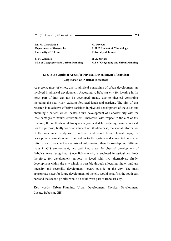1390 -  222

**Dr. M. Gharakhlou Department of Geography University of Tehran** 

**S. M. Zandavi M.S of Geography and Uurban Planning**  **M. Davoodi P. H. D Student of Climatology University of Tehran** 

**H. A. Jorjani M.S of Geography and Urban Planning** 

### **Locate the Optimal Areas for Physical Development of Babolsar City Based on Natural Indicators**

At present, most of cities, due to physical constraints of urban development are involved in physical development. Accordingly, Babolsar city for locating in the north part of Iran can not be developed greatly due to physical constraints including the sea, river, existing fertilized lands and gardens. The aim of this research is to achieve effective variables in physical development of the cities and obtaining a pattern which locates future development of Babolsar city with the least damages to natural environment. Therefore, with respect to the aim of this research, the methods of status quo analysis and data modeling have been used. For this purpose, firstly for establishment of GIS data base, the spatial information of the area under study were numbered and stored from relevant maps, the descriptive information were entered in to the system and connected to spatial information to enable the analysis of information, then by overlapping different maps in GIS environment, two optimized areas for physical development of Babolsar were recognized. Since Babolsar city is enclosed in agricultural lands therefore, for development purpose is faced with two alternatives: firstly, development within the city which is possible through allocating higher land use intensity and secondly, development toward outside of the city. The most appropriate place for future development of the city would be at first the south east part and the second priority would be south west part of Babolsar city.

**Key words**: Urban Planning, Urban Development, Physical Development, Locate, Babolsar, GIS.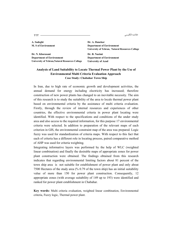كىليسى ئىلىسى ئىلىنى ئىلەن ئىستان ئىستان ئىستان ئىستان ئىستان ئىستان ئىستان ئىستان ئىستان ئىستان ئىستان ئىستان<br>مارسى ئىستان ئىستان ئىستان ئىستان ئىستان ئىستان ئىستان ئىستان ئىستان ئىستان ئىستان ئىستان ئىستان ئىستان ئىستان خلاصه انگليسي

**A. Sadeghi M. S of Environment** 

**Dr. N. Khorasani Department of Environment University of Tehran,Natural Resources Collage**  **Dr. A. Danekar Department of Environment University of Tehran, Natural Resources Collage** 

**Dr. B. Naeimi Department of Environment University of Azad** 

#### **Analysis of Land Suitability to Locate Thermal Power Plant by the Use of Environmental Multi Criteria Evaluation Approach Case Study: Chabahar Town Ship**

In Iran, due to high rate of economic growth and development activities, the annual demand for energy including electricity has increased; therefore construction of new power plants has changed to an inevitable necessity. The aim of this research is to study the suitability of the area to locale thermal power plant based on environmental criteria by the assistance of multi criteria evaluation. Firstly, through the review of internal resources and experiences of other countries, the effective environmental criteria in power plant locating were identified. With respect to the specifications and conditions of the under study area and also access to the required information, for this purpose 17 environmental criteria were selected. In addition to preparation of the relevant maps of each criterion in GIS, the environmental constraint map of the area was prepared. Logic fuzzy was used for standardization of criteria maps. With respect to this fact that each of criteria has a different role in locating process, paired comparative method of AHP was used for criteria weighting.

Integrating informative layers was performed by the help of WLC (weighted linear combination) and finally the desirable maps of appropriate zones for power plant construction were obtained. The findings obtained from this research indicates that regarding environmental limiting factors about 81 percent of the town ship area is not suitable for establishment of power plant and only about 7500 Hectares of the study area (% 0.79 of the town ship) has an initial suitability value of more than 150 for power plant construction. Consequently, 12 appropriate zones (with average suitability of 149 up to 193) were identified and ranked for power plant establishment in Chabahar.

**Key words:** Multi criteria evaluation, weighted linear combination, Environmental criteria, Fuzzy logic, Thermal power plant.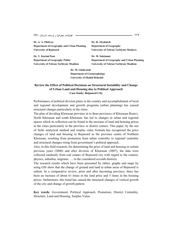1390 -  224

| Dr. A. A. Pilehvar                         | Dr. H. Afrakhteh                              |
|--------------------------------------------|-----------------------------------------------|
| Department of Geography and Urban Planning | <b>Department of Geography</b>                |
| University of Bojnoord                     | <b>University of Tehran Tarbiyate Modares</b> |
|                                            |                                               |
|                                            |                                               |
| Dr. Y. Karimi Pour                         | Dr. M. Soleimani                              |
| <b>Department of Geography Politic</b>     | Department of Geography and Urban Planning    |

**Dr. M. Ghohroudi Department of Geomorphology University of Shahid Beheshti** 

#### **Review the Effect of Political Decisions on Structural Instability and Change of Urban Land and Housing due to Political Approach Case Study: Bojnoord City**

Performance of political division plans in the country and accomplishment of local and regional development and growth programs (urban planning) has caused structural changes particularly in the cities.

The plan of deviding Khorasan province in to three provinces of Khorasan Razavi, North Khorasan and south Khorasan, has led to changes in urban and regional spaces which its reflection can be found in the increase of land and housing prices in the cities particularly in the province or district centers. This paper, by the use of field- analytical method and surplus value formula has recognized the price changes of land and housing in Bojnoord as the province centre of Northern Khorasan, resulting from promotion from urban centrality to regional centrality and structural changes rising from government's political approach.

Also, in this field research, for determining the price of land and housing in certain previous years (2000) and after division of Khorasan (2007), the data were collected randomly from real estates of Bojnoord city with regard to the context, physics, suburbia, migrants, … in the considered seventh districts.

The research results which have been presented by tables, graphs and maps by using GIS show that the change of ground and land in urban areas of Bojnoord is salient. In a comparative review, prior and after becoming province, there has been an increase of about 61 times in the land price and 5 times in the housing prices, furthermore, this trend has caused the structural changes of vertical growth of the city and change of growth pattern.

**Key words**: Government, Political Approach, Promotion, District Centrality, Structure, Land and Housing, Surplus Value.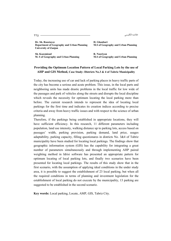ىكىلىسى ئىكلىسى ئىستان ئارىسى ئىستان ئىستان ئىستان ئىستان ئىستان ئىستان ئىستان ئىستان ئىستان ئىستان ئىستان ئىس<br>ئىستان ئىستان ئىستان ئىستان ئىستان ئىستان ئىستان ئىستان ئىستان ئىستان ئىستان ئىستان ئىستان ئىستان ئىستان ئىستا خلاصه انگلیسی

**Dr. Sh. Roostayee Department of Geography and Urban Planning University of Zanjan** 

**H. Ghanbari M.S of Geography and Urban Planning** 

**Sh. Kazemizad M. S of Geography and Urban Planning**  **R. Nooriyan M.S of Geography and Urban Planning** 

#### **Providing the Optimum Location Pattern of Local Parking Lots by the use of AHP and GIS Method, Case Study: Districts No.3 & 4 of Tabriz Municipality**

Today, the increasing use of car and lack of parking places in heavy traffic parts of the city has become a serious and acute problem. This issue, in the local parts and neighboring units has made drastic problems in the local traffic for low wide of the passages and park of vehicles along the streets and disrupts the local discipline which reveals the necessity for optimum locating the local parking more than before. The current research intends to represent the idea of locating local parkings for the first time and indicates its creation indices according to precise criteria and away from heavy traffic issues and with respect to the science of urban planning.

Therefore, if the parkings being established in appropriate locations, they will have sufficient efficiency. In this research, 11 different parameters including population, land use intensity, walking distance up to parking lots, access based on passages' width, parking provision, parking demand, land price, usages adaptability, parking capacity, filling questionares in districts No. 3&4 of Tabriz municipality have been studied for locating local parkings. The findings show that geographic information system (GIS) has the capability for integrating a great number of parameters simultaneously and through implementing AHP paired weighting method in Idrisi software has presented an appropriate pattern for optimum locating of local parking lots, and finally two scenarios have been presented for locating local parkings. The results of this study show that in the first scenario, with the assumption of applying ideal conditions in the under study area, it is possible to suggest the establishment of 23 local parking, but when all the required conditions in terms of planning and investment legislation for the establishment of local parking do not execute by the municipality, 13 parking are suggested to be established in the second scenario.

**Key words:** Local parking, Locate, AMP, GIS, Tabriz City.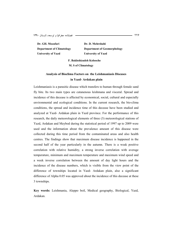**Dr. GH. Mozafari Department of Climatology University of Yazd** 

**Dr. D. Mehrshahi Department of Geomorphology University of Yazd** 

**F. Bakhshizadeh Kolooche M. S of Climatology** 

# **Analysis of Bioclima Factors on the Leishmaniasis Diseases in Yazd- Ardakan plain**

Leishmaniasis is a parasitic disease which transfers to human through female sand fly bite. Its two main types are cutanenous leishmana and visceral. Spread and incidence of this decease is affected by economical, social, cultural and especially environmental and ecological conditions. In the current research, the bio-clima conditions, the spread and incidence time of this decease have been studied and analyzed at Yazd- Ardakan plain in Yazd province. For the performance of this research, the daily meteorological elements of three (3) meteorological stations of Yazd, Ardakan and Meybod during the statistical period of 1997 up to 2009 were used and the information about the prevalence amount of this disease were collected during this time period from the contaminated areas and also health centres. The findings show that maximum disease incidence is happened in the second half of the year particularly in the autumn. There is a weak positive correlation with relative humidity, a strong inverse correlation with average temperature, minimum and maximum temperature and maximum wind speed and a week inverse correlation between the amount of day light hours and the incidence of the disease numbers, which is visible from the view point of the difference of townships located in Yazd- Ardakan plain, also a significant difference of Alpha 0.05 was approved about the incidence of this decease at these 3 townships.

**Key words:** Leishmania, Aleppo boil, Medical geography, Biological, Yazd, Ardakan.